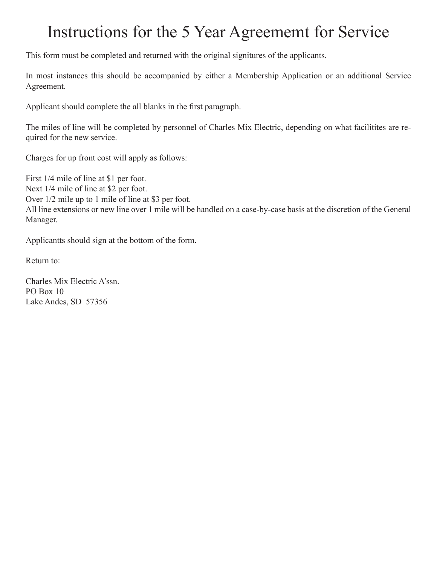## Instructions for the 5 Year Agreememt for Service

This form must be completed and returned with the original signitures of the applicants.

In most instances this should be accompanied by either a Membership Application or an additional Service Agreement.

Applicant should complete the all blanks in the first paragraph.

The miles of line will be completed by personnel of Charles Mix Electric, depending on what facilitites are required for the new service.

Charges for up front cost will apply as follows:

First 1/4 mile of line at \$1 per foot. Next 1/4 mile of line at \$2 per foot. Over 1/2 mile up to 1 mile of line at \$3 per foot. All line extensions or new line over 1 mile will be handled on a case-by-case basis at the discretion of the General Manager.

Applicantts should sign at the bottom of the form.

Return to:

Charles Mix Electric A'ssn. PO Box 10 Lake Andes, SD 57356